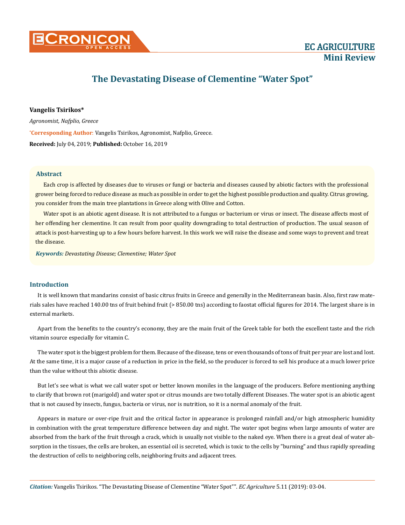

# **The Devastating Disease of Clementine "Water Spot"**

# **Vangelis Tsirikos\***

*Agronomist, Nafplio, Greece*

**\* Corresponding Author**: Vangelis Tsirikos, Agronomist, Nafplio, Greece.

**Received:** July 04, 2019; **Published:** October 16, 2019

## **Abstract**

Each crop is affected by diseases due to viruses or fungi or bacteria and diseases caused by abiotic factors with the professional grower being forced to reduce disease as much as possible in order to get the highest possible production and quality. Citrus growing, you consider from the main tree plantations in Greece along with Olive and Cotton.

Water spot is an abiotic agent disease. It is not attributed to a fungus or bacterium or virus or insect. The disease affects most of her offending her clementine. It can result from poor quality downgrading to total destruction of production. The usual season of attack is post-harvesting up to a few hours before harvest. In this work we will raise the disease and some ways to prevent and treat the disease.

*Keywords: Devastating Disease; Clementine; Water Spot*

## **Introduction**

It is well known that mandarins consist of basic citrus fruits in Greece and generally in the Mediterranean basin. Also, first raw materials sales have reached 140.00 tns of fruit behind fruit (> 850.00 tns) according to faostat official figures for 2014. The largest share is in external markets.

Apart from the benefits to the country's economy, they are the main fruit of the Greek table for both the excellent taste and the rich vitamin source especially for vitamin C.

The water spot is the biggest problem for them. Because of the disease, tens or even thousands of tons of fruit per year are lost and lost. At the same time, it is a major cause of a reduction in price in the field, so the producer is forced to sell his produce at a much lower price than the value without this abiotic disease.

But let's see what is what we call water spot or better known moniles in the language of the producers. Before mentioning anything to clarify that brown rot (marigold) and water spot or citrus mounds are two totally different Diseases. The water spot is an abiotic agent that is not caused by insects, fungus, bacteria or virus, nor is nutrition, so it is a normal anomaly of the fruit.

Appears in mature or over-ripe fruit and the critical factor in appearance is prolonged rainfall and/or high atmospheric humidity in combination with the great temperature difference between day and night. The water spot begins when large amounts of water are absorbed from the bark of the fruit through a crack, which is usually not visible to the naked eye. When there is a great deal of water absorption in the tissues, the cells are broken, an essential oil is secreted, which is toxic to the cells by "burning" and thus rapidly spreading the destruction of cells to neighboring cells, neighboring fruits and adjacent trees.